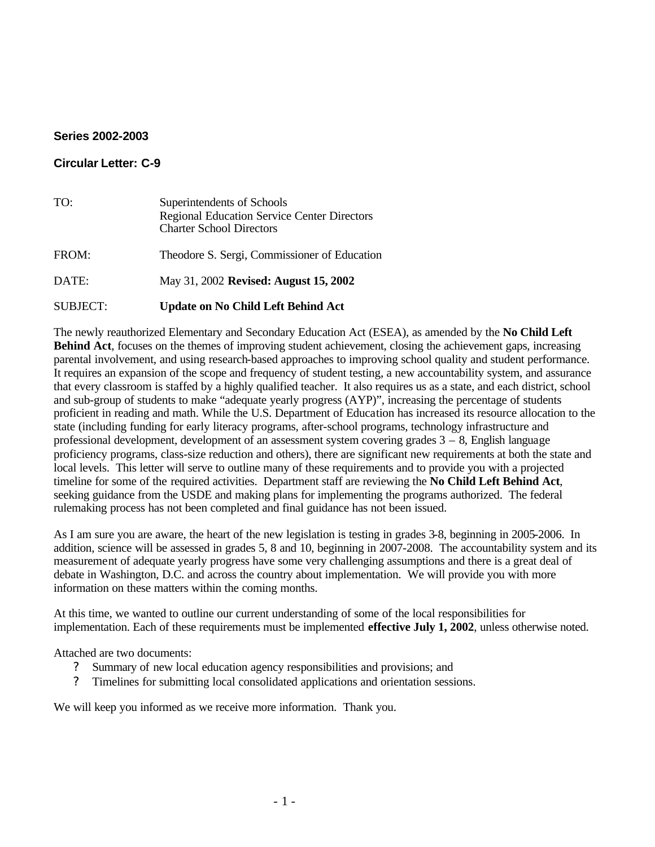## **Series 2002-2003**

## **Circular Letter: C-9**

| TO:             | Superintendents of Schools<br><b>Regional Education Service Center Directors</b><br><b>Charter School Directors</b> |
|-----------------|---------------------------------------------------------------------------------------------------------------------|
| FROM:           | Theodore S. Sergi, Commissioner of Education                                                                        |
| DATE:           | May 31, 2002 Revised: August 15, 2002                                                                               |
| <b>SUBJECT:</b> | <b>Update on No Child Left Behind Act</b>                                                                           |

The newly reauthorized Elementary and Secondary Education Act (ESEA), as amended by the **No Child Left Behind Act**, focuses on the themes of improving student achievement, closing the achievement gaps, increasing parental involvement, and using research-based approaches to improving school quality and student performance. It requires an expansion of the scope and frequency of student testing, a new accountability system, and assurance that every classroom is staffed by a highly qualified teacher. It also requires us as a state, and each district, school and sub-group of students to make "adequate yearly progress (AYP)", increasing the percentage of students proficient in reading and math. While the U.S. Department of Education has increased its resource allocation to the state (including funding for early literacy programs, after-school programs, technology infrastructure and professional development, development of an assessment system covering grades 3 – 8, English language proficiency programs, class-size reduction and others), there are significant new requirements at both the state and local levels. This letter will serve to outline many of these requirements and to provide you with a projected timeline for some of the required activities. Department staff are reviewing the **No Child Left Behind Act**, seeking guidance from the USDE and making plans for implementing the programs authorized. The federal rulemaking process has not been completed and final guidance has not been issued.

As I am sure you are aware, the heart of the new legislation is testing in grades 3-8, beginning in 2005-2006. In addition, science will be assessed in grades 5, 8 and 10, beginning in 2007-2008. The accountability system and its measurement of adequate yearly progress have some very challenging assumptions and there is a great deal of debate in Washington, D.C. and across the country about implementation. We will provide you with more information on these matters within the coming months.

At this time, we wanted to outline our current understanding of some of the local responsibilities for implementation. Each of these requirements must be implemented **effective July 1, 2002**, unless otherwise noted.

Attached are two documents:

- Summary of new local education agency responsibilities and provisions; and
- ? Timelines for submitting local consolidated applications and orientation sessions.

We will keep you informed as we receive more information. Thank you.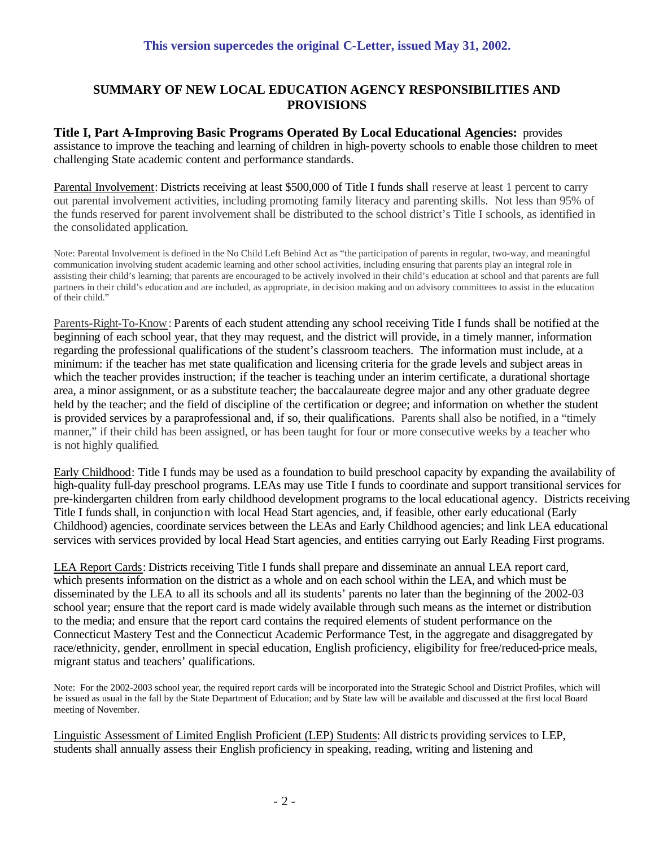## **SUMMARY OF NEW LOCAL EDUCATION AGENCY RESPONSIBILITIES AND PROVISIONS**

**Title I, Part A-Improving Basic Programs Operated By Local Educational Agencies:** provides assistance to improve the teaching and learning of children in high-poverty schools to enable those children to meet challenging State academic content and performance standards.

Parental Involvement: Districts receiving at least \$500,000 of Title I funds shall reserve at least 1 percent to carry out parental involvement activities, including promoting family literacy and parenting skills. Not less than 95% of the funds reserved for parent involvement shall be distributed to the school district's Title I schools, as identified in the consolidated application.

Note: Parental Involvement is defined in the No Child Left Behind Act as "the participation of parents in regular, two-way, and meaningful communication involving student academic learning and other school activities, including ensuring that parents play an integral role in assisting their child's learning; that parents are encouraged to be actively involved in their child's education at school and that parents are full partners in their child's education and are included, as appropriate, in decision making and on advisory committees to assist in the education of their child."

Parents-Right-To-Know: Parents of each student attending any school receiving Title I funds shall be notified at the beginning of each school year, that they may request, and the district will provide, in a timely manner, information regarding the professional qualifications of the student's classroom teachers. The information must include, at a minimum: if the teacher has met state qualification and licensing criteria for the grade levels and subject areas in which the teacher provides instruction; if the teacher is teaching under an interim certificate, a durational shortage area, a minor assignment, or as a substitute teacher; the baccalaureate degree major and any other graduate degree held by the teacher; and the field of discipline of the certification or degree; and information on whether the student is provided services by a paraprofessional and, if so, their qualifications. Parents shall also be notified, in a "timely manner," if their child has been assigned, or has been taught for four or more consecutive weeks by a teacher who is not highly qualified.

Early Childhood: Title I funds may be used as a foundation to build preschool capacity by expanding the availability of high-quality full-day preschool programs. LEAs may use Title I funds to coordinate and support transitional services for pre-kindergarten children from early childhood development programs to the local educational agency. Districts receiving Title I funds shall, in conjunction with local Head Start agencies, and, if feasible, other early educational (Early Childhood) agencies, coordinate services between the LEAs and Early Childhood agencies; and link LEA educational services with services provided by local Head Start agencies, and entities carrying out Early Reading First programs.

LEA Report Cards: Districts receiving Title I funds shall prepare and disseminate an annual LEA report card, which presents information on the district as a whole and on each school within the LEA, and which must be disseminated by the LEA to all its schools and all its students' parents no later than the beginning of the 2002-03 school year; ensure that the report card is made widely available through such means as the internet or distribution to the media; and ensure that the report card contains the required elements of student performance on the Connecticut Mastery Test and the Connecticut Academic Performance Test, in the aggregate and disaggregated by race/ethnicity, gender, enrollment in special education, English proficiency, eligibility for free/reduced-price meals, migrant status and teachers' qualifications.

Note: For the 2002-2003 school year, the required report cards will be incorporated into the Strategic School and District Profiles, which will be issued as usual in the fall by the State Department of Education; and by State law will be available and discussed at the first local Board meeting of November.

Linguistic Assessment of Limited English Proficient (LEP) Students: All districts providing services to LEP, students shall annually assess their English proficiency in speaking, reading, writing and listening and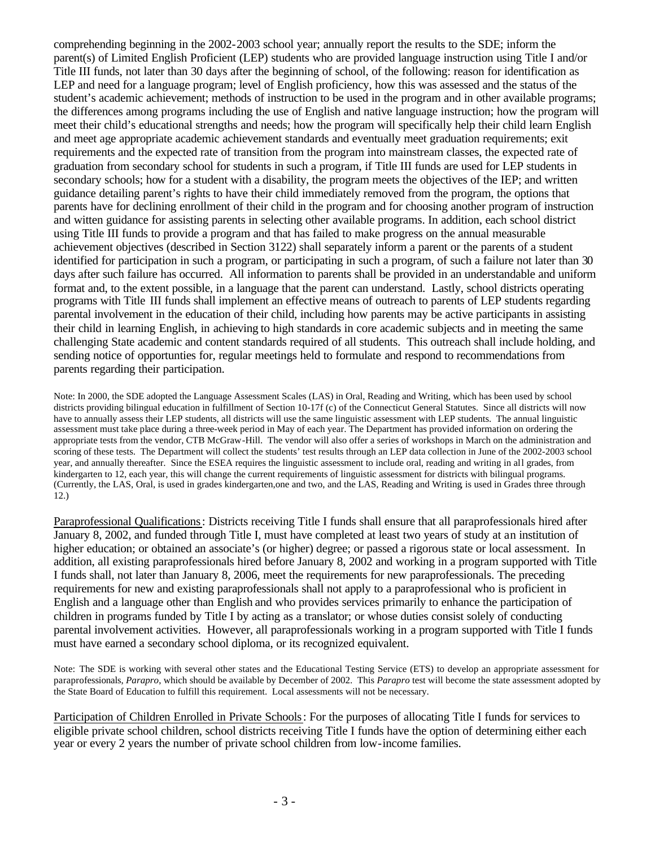comprehending beginning in the 2002-2003 school year; annually report the results to the SDE; inform the parent(s) of Limited English Proficient (LEP) students who are provided language instruction using Title I and/or Title III funds, not later than 30 days after the beginning of school, of the following: reason for identification as LEP and need for a language program; level of English proficiency, how this was assessed and the status of the student's academic achievement; methods of instruction to be used in the program and in other available programs; the differences among programs including the use of English and native language instruction; how the program will meet their child's educational strengths and needs; how the program will specifically help their child learn English and meet age appropriate academic achievement standards and eventually meet graduation requirements; exit requirements and the expected rate of transition from the program into mainstream classes, the expected rate of graduation from secondary school for students in such a program, if Title III funds are used for LEP students in secondary schools; how for a student with a disability, the program meets the objectives of the IEP; and written guidance detailing parent's rights to have their child immediately removed from the program, the options that parents have for declining enrollment of their child in the program and for choosing another program of instruction and witten guidance for assisting parents in selecting other available programs. In addition, each school district using Title III funds to provide a program and that has failed to make progress on the annual measurable achievement objectives (described in Section 3122) shall separately inform a parent or the parents of a student identified for participation in such a program, or participating in such a program, of such a failure not later than 30 days after such failure has occurred. All information to parents shall be provided in an understandable and uniform format and, to the extent possible, in a language that the parent can understand. Lastly, school districts operating programs with Title III funds shall implement an effective means of outreach to parents of LEP students regarding parental involvement in the education of their child, including how parents may be active participants in assisting their child in learning English, in achieving to high standards in core academic subjects and in meeting the same challenging State academic and content standards required of all students. This outreach shall include holding, and sending notice of opportunties for, regular meetings held to formulate and respond to recommendations from parents regarding their participation.

Note: In 2000, the SDE adopted the Language Assessment Scales (LAS) in Oral, Reading and Writing, which has been used by school districts providing bilingual education in fulfillment of Section 10-17f (c) of the Connecticut General Statutes. Since all districts will now have to annually assess their LEP students, all districts will use the same linguistic assessment with LEP students. The annual linguistic assessment must take place during a three-week period in May of each year. The Department has provided information on ordering the appropriate tests from the vendor, CTB McGraw-Hill. The vendor will also offer a series of workshops in March on the administration and scoring of these tests. The Department will collect the students' test results through an LEP data collection in June of the 2002-2003 school year, and annually thereafter. Since the ESEA requires the linguistic assessment to include oral, reading and writing in all grades, from kindergarten to 12, each year, this will change the current requirements of linguistic assessment for districts with bilingual programs. (Currently, the LAS, Oral, is used in grades kindergarten,one and two, and the LAS, Reading and Writing, is used in Grades three through 12.)

Paraprofessional Qualifications: Districts receiving Title I funds shall ensure that all paraprofessionals hired after January 8, 2002, and funded through Title I, must have completed at least two years of study at an institution of higher education; or obtained an associate's (or higher) degree; or passed a rigorous state or local assessment. In addition, all existing paraprofessionals hired before January 8, 2002 and working in a program supported with Title I funds shall, not later than January 8, 2006, meet the requirements for new paraprofessionals. The preceding requirements for new and existing paraprofessionals shall not apply to a paraprofessional who is proficient in English and a language other than English and who provides services primarily to enhance the participation of children in programs funded by Title I by acting as a translator; or whose duties consist solely of conducting parental involvement activities. However, all paraprofessionals working in a program supported with Title I funds must have earned a secondary school diploma, or its recognized equivalent.

Note: The SDE is working with several other states and the Educational Testing Service (ETS) to develop an appropriate assessment for paraprofessionals, *Parapro*, which should be available by December of 2002. This *Parapro* test will become the state assessment adopted by the State Board of Education to fulfill this requirement. Local assessments will not be necessary.

Participation of Children Enrolled in Private Schools: For the purposes of allocating Title I funds for services to eligible private school children, school districts receiving Title I funds have the option of determining either each year or every 2 years the number of private school children from low-income families.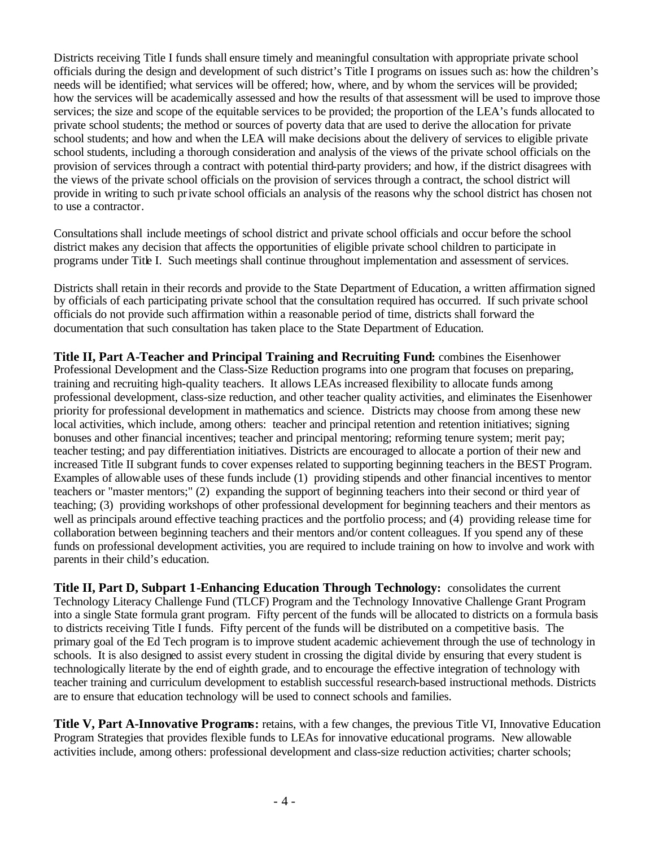Districts receiving Title I funds shall ensure timely and meaningful consultation with appropriate private school officials during the design and development of such district's Title I programs on issues such as: how the children's needs will be identified; what services will be offered; how, where, and by whom the services will be provided; how the services will be academically assessed and how the results of that assessment will be used to improve those services; the size and scope of the equitable services to be provided; the proportion of the LEA's funds allocated to private school students; the method or sources of poverty data that are used to derive the allocation for private school students; and how and when the LEA will make decisions about the delivery of services to eligible private school students, including a thorough consideration and analysis of the views of the private school officials on the provision of services through a contract with potential third-party providers; and how, if the district disagrees with the views of the private school officials on the provision of services through a contract, the school district will provide in writing to such private school officials an analysis of the reasons why the school district has chosen not to use a contractor.

Consultations shall include meetings of school district and private school officials and occur before the school district makes any decision that affects the opportunities of eligible private school children to participate in programs under Title I. Such meetings shall continue throughout implementation and assessment of services.

Districts shall retain in their records and provide to the State Department of Education, a written affirmation signed by officials of each participating private school that the consultation required has occurred. If such private school officials do not provide such affirmation within a reasonable period of time, districts shall forward the documentation that such consultation has taken place to the State Department of Education.

**Title II, Part A-Teacher and Principal Training and Recruiting Fund:** combines the Eisenhower Professional Development and the Class-Size Reduction programs into one program that focuses on preparing, training and recruiting high-quality teachers. It allows LEAs increased flexibility to allocate funds among professional development, class-size reduction, and other teacher quality activities, and eliminates the Eisenhower priority for professional development in mathematics and science. Districts may choose from among these new local activities, which include, among others: teacher and principal retention and retention initiatives; signing bonuses and other financial incentives; teacher and principal mentoring; reforming tenure system; merit pay; teacher testing; and pay differentiation initiatives. Districts are encouraged to allocate a portion of their new and increased Title II subgrant funds to cover expenses related to supporting beginning teachers in the BEST Program. Examples of allowable uses of these funds include (1) providing stipends and other financial incentives to mentor teachers or "master mentors;" (2) expanding the support of beginning teachers into their second or third year of teaching; (3) providing workshops of other professional development for beginning teachers and their mentors as well as principals around effective teaching practices and the portfolio process; and (4) providing release time for collaboration between beginning teachers and their mentors and/or content colleagues. If you spend any of these funds on professional development activities, you are required to include training on how to involve and work with parents in their child's education.

**Title II, Part D, Subpart 1-Enhancing Education Through Technology:** consolidates the current Technology Literacy Challenge Fund (TLCF) Program and the Technology Innovative Challenge Grant Program into a single State formula grant program. Fifty percent of the funds will be allocated to districts on a formula basis to districts receiving Title I funds. Fifty percent of the funds will be distributed on a competitive basis. The primary goal of the Ed Tech program is to improve student academic achievement through the use of technology in schools. It is also designed to assist every student in crossing the digital divide by ensuring that every student is technologically literate by the end of eighth grade, and to encourage the effective integration of technology with teacher training and curriculum development to establish successful research-based instructional methods. Districts are to ensure that education technology will be used to connect schools and families.

**Title V, Part A-Innovative Programs:** retains, with a few changes, the previous Title VI, Innovative Education Program Strategies that provides flexible funds to LEAs for innovative educational programs.New allowable activities include, among others: professional development and class-size reduction activities; charter schools;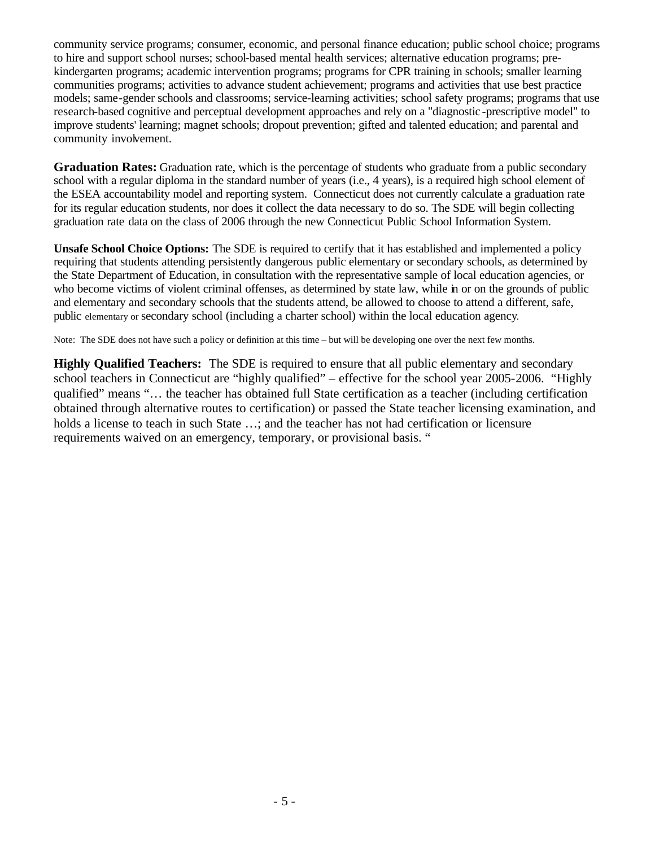community service programs; consumer, economic, and personal finance education; public school choice; programs to hire and support school nurses; school-based mental health services; alternative education programs; prekindergarten programs; academic intervention programs; programs for CPR training in schools; smaller learning communities programs; activities to advance student achievement; programs and activities that use best practice models; same-gender schools and classrooms; service-learning activities; school safety programs; programs that use research-based cognitive and perceptual development approaches and rely on a "diagnostic -prescriptive model" to improve students' learning; magnet schools; dropout prevention; gifted and talented education; and parental and community involvement.

**Graduation Rates:** Graduation rate, which is the percentage of students who graduate from a public secondary school with a regular diploma in the standard number of years (i.e., 4 years), is a required high school element of the ESEA accountability model and reporting system. Connecticut does not currently calculate a graduation rate for its regular education students, nor does it collect the data necessary to do so. The SDE will begin collecting graduation rate data on the class of 2006 through the new Connecticut Public School Information System.

**Unsafe School Choice Options:** The SDE is required to certify that it has established and implemented a policy requiring that students attending persistently dangerous public elementary or secondary schools, as determined by the State Department of Education, in consultation with the representative sample of local education agencies, or who become victims of violent criminal offenses, as determined by state law, while in or on the grounds of public and elementary and secondary schools that the students attend, be allowed to choose to attend a different, safe, public elementary or secondary school (including a charter school) within the local education agency.

Note: The SDE does not have such a policy or definition at this time – but will be developing one over the next few months.

**Highly Qualified Teachers:** The SDE is required to ensure that all public elementary and secondary school teachers in Connecticut are "highly qualified" – effective for the school year 2005-2006. "Highly qualified" means "… the teacher has obtained full State certification as a teacher (including certification obtained through alternative routes to certification) or passed the State teacher licensing examination, and holds a license to teach in such State ...; and the teacher has not had certification or licensure requirements waived on an emergency, temporary, or provisional basis. "